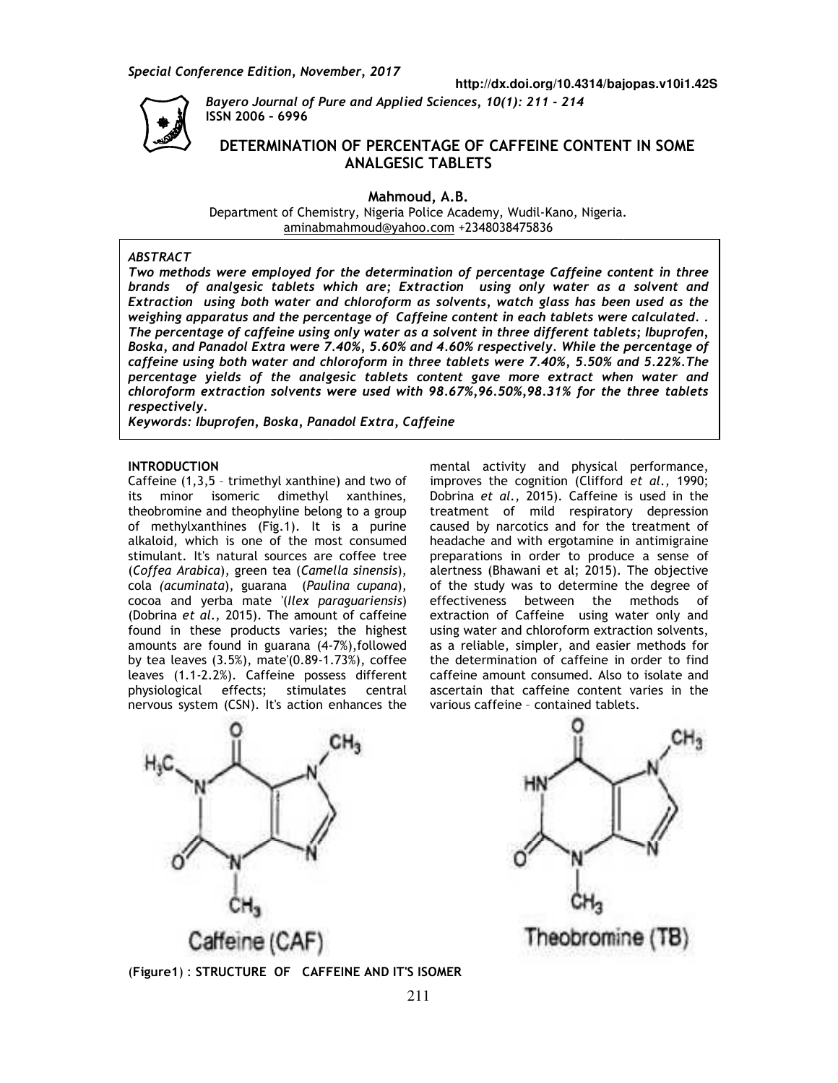*Special Conference Edition, November, 2017*



*Bayero Journal of Pure and Applied Sciences , November, Bayero Journal Sciences, 10(1): 211 - 214*  **ISSN 2006 – 6996**

# **DETERMINATION OF PERCENTAGE OF CAFFEINE CONTENT PERCENTAGE CAFFEINE ANALGESIC TABLETS DETERMINATION OF CONTENT IN SOME**

**Mahmoud, A.B.** 

Department of Chemistry, Nigeria Police Academy, Wudil-Kano, Nigeria. aminabmahmoud@yahoo.com aminabmahmoud@yahoo.com +2348038475836

#### *ABSTRACT*

*Two methods were employed for the determination of percentage Caffeine content in three brands of analgesic tablets which are; Extraction using only water as a solvent and Extraction Extraction using both water and chloroform as solvents, watch glass has been used as the weighing apparatus and the percentage of C Caffeine content in each tablets were calculated. . The percentage of caffeine using only water as a solvent in three different tablets; Ibuprofen, Boska, and Panadol Extra were 7.40%, 5.60% and 4.60% respectively. While the percentage of caffeine using both water and chloroform in three tablets were 7.40%, 5.50% and 5.22%.The percentage yields of the analgesic tablets content gave more extract when water and chloroform extraction solvents were used with 98.67%,96.50%,98.31% for the three tablets respectively.*  The percentage of caffeine using only water as a solvent in three different tablets;<br>Boska, and Panadol Extra were 7.40%, 5.60% and 4.60% respectively. While the per<br>caffeine using both water and chloroform in three tablet *Two methods were employed for the determination of percentage Caffeine content brands of analgesic tablets which are; Extraction using only water as a solvextraction using both water and chloroform as solvents, watch glas* 

*Keywords: Ibuprofen, Boska, Panadol Extra,*

## **INTRODUCTION**

Caffeine (1,3,5 – trimethyl xanthine) and two of its minor isomeric dimethyl xanthines, theobromine and theophyline belong to a group theobromine and theophyline belong to a group<br>of methylxanthines (Fig.1). It is a purine alkaloid, which is one of the most consumed stimulant. It's natural sources are coffee tree (*Coffea Arabica*), green tea (*Camella amella sinensis*), cola *(acuminata*), guarana (*Paulina cupana* ), cocoa and yerba mate '(*Ilex paraguariensis* ) (Dobrina *et al.,* 2015). The amount of caffeine found in these products varies; the highest amounts are found in guarana (4-7%), followed by tea leaves (3.5%), mate'(0.89-1.73%), coffee leaves (1.1-2.2%). Caffeine possess different physiological effects; stimulates central nervous system (CSN). It's action enhances the a *et al.*, 2015). The amount of caffeine<br>in these products varies; the highest<br>:s are found in guarana (4-7%),followed

mental activity and physical performance,<br>
ne) and two of improves the cognition (Clifford *et al.*, 1990;<br>  $\sqrt{l}$  xanthines, Dobrina *et al.*, 2015). Caffeine is used in the<br>
ong to a group treatment of mild respiratory improves the cognition (Clifford *et al.,* 1990; Dobrina *et al.,* 2015). Caffeine is used in the treatment of mild respiratory depression caused by narcotics and for the treatment of headache and with ergotamine in antimigraine preparations in order to produce a sense of alertness (Bhawani et al; 2015). of the study was to determine the degree of of the study was to determine the degree of<br>effectiveness between the methods of extraction of Caffeine using water only and using water and chloroform extraction solvents, as a reliable, simpler, and easier methods for the determination of caffeine in order to find caffeine amount consumed. Also to isolate and ascertain that caffeine content varies in the various caffeine – contained tablets. mental activity and physical performance, is used in the<br>
y depression<br>
treatment of<br>
n antimigraine<br>
ce a sense of<br>
The objective of Caffeine using water only<br>ple, simpler, and easier methods<br>mination of caffeine in order to<br>mount consumed. Also to isolate<br>that caffeine content varies in<br>ffeine - contained tablets.



ΗN Theobromine (TB)

(**Figure1**) : **STRUCTURE OF CAFFEINE AND IT'S ISOMER**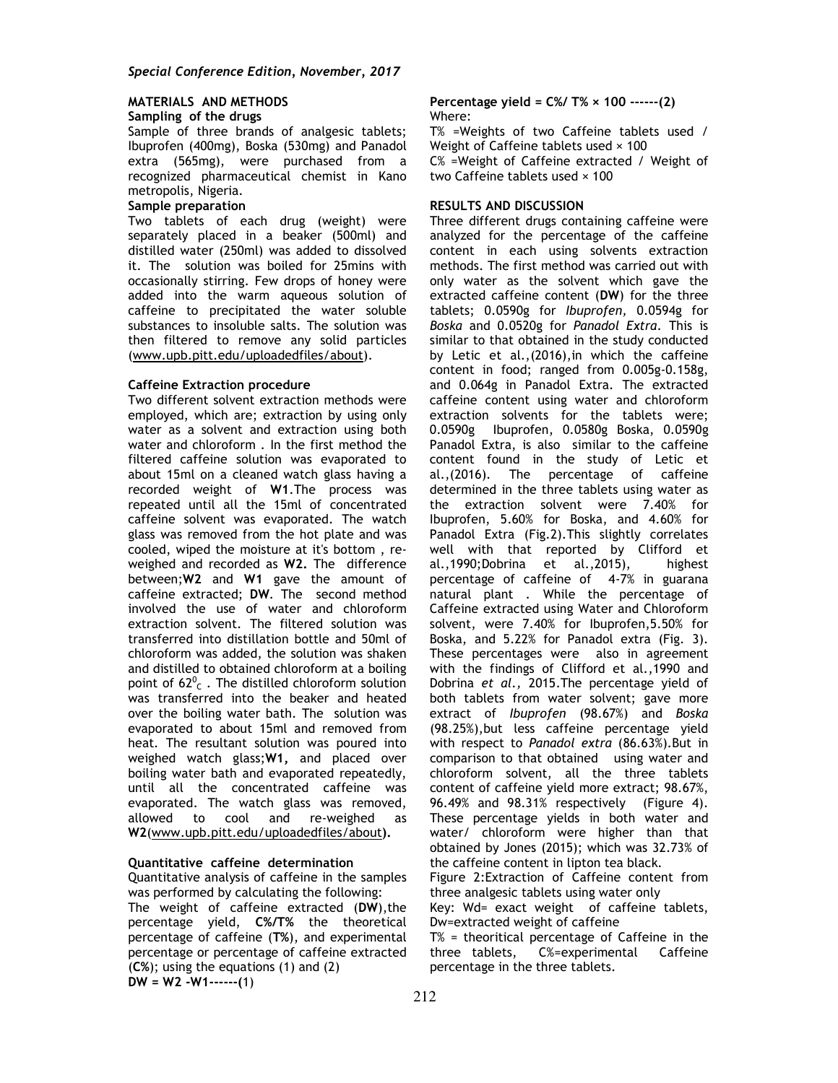### **MATERIALS AND METHODS Sampling of the drugs**

Sample of three brands of analgesic tablets; Ibuprofen (400mg), Boska (530mg) and Panadol extra (565mg), were purchased from a recognized pharmaceutical chemist in Kano metropolis, Nigeria.

#### **Sample preparation**

Two tablets of each drug (weight) were separately placed in a beaker (500ml) and distilled water (250ml) was added to dissolved it. The solution was boiled for 25mins with occasionally stirring. Few drops of honey were added into the warm aqueous solution of caffeine to precipitated the water soluble substances to insoluble salts. The solution was then filtered to remove any solid particles (www.upb.pitt.edu/uploadedfiles/about).

#### **Caffeine Extraction procedure**

Two different solvent extraction methods were employed, which are; extraction by using only water as a solvent and extraction using both water and chloroform . In the first method the filtered caffeine solution was evaporated to about 15ml on a cleaned watch glass having a recorded weight of **W1**.The process was repeated until all the 15ml of concentrated caffeine solvent was evaporated. The watch glass was removed from the hot plate and was cooled, wiped the moisture at it's bottom , reweighed and recorded as **W2.** The difference between;**W2** and **W1** gave the amount of caffeine extracted; **DW**. The second method involved the use of water and chloroform extraction solvent. The filtered solution was transferred into distillation bottle and 50ml of chloroform was added, the solution was shaken and distilled to obtained chloroform at a boiling point of  $62^0$ <sub>c</sub>. The distilled chloroform solution was transferred into the beaker and heated over the boiling water bath. The solution was evaporated to about 15ml and removed from heat. The resultant solution was poured into weighed watch glass;**W1,** and placed over boiling water bath and evaporated repeatedly, until all the concentrated caffeine was evaporated. The watch glass was removed, allowed to cool and re-weighed as **W2**(www.upb.pitt.edu/uploadedfiles/about**).** 

#### **Quantitative caffeine determination**

Quantitative analysis of caffeine in the samples was performed by calculating the following: The weight of caffeine extracted (**DW**),the percentage yield, **C%/T%** the theoretical percentage of caffeine (**T%**), and experimental percentage or percentage of caffeine extracted (**C%**); using the equations (1) and (2) **DW = W2 -W1------(**1)

**Percentage yield = C%/ T% × 100 ------(2)**  Where:

T% =Weights of two Caffeine tablets used / Weight of Caffeine tablets used  $\times$  100 C% =Weight of Caffeine extracted / Weight of two Caffeine tablets used × 100

### **RESULTS AND DISCUSSION**

Three different drugs containing caffeine were analyzed for the percentage of the caffeine content in each using solvents extraction methods. The first method was carried out with only water as the solvent which gave the extracted caffeine content (**DW**) for the three tablets; 0.0590g for *Ibuprofen,* 0.0594g for *Boska* and 0.0520g for *Panadol Extra*. This is similar to that obtained in the study conducted by Letic et al.,(2016),in which the caffeine content in food; ranged from 0.005g-0.158g, and 0.064g in Panadol Extra. The extracted caffeine content using water and chloroform extraction solvents for the tablets were; 0.0590g Ibuprofen, 0.0580g Boska, 0.0590g Panadol Extra, is also similar to the caffeine content found in the study of Letic et al.,(2016). The percentage of caffeine determined in the three tablets using water as the extraction solvent were 7.40% for Ibuprofen, 5.60% for Boska, and 4.60% for Panadol Extra (Fig.2).This slightly correlates well with that reported by Clifford et al.,1990;Dobrina et al.,2015), highest percentage of caffeine of 4-7% in guarana natural plant . While the percentage of Caffeine extracted using Water and Chloroform solvent, were 7.40% for Ibuprofen,5.50% for Boska, and 5.22% for Panadol extra (Fig. 3). These percentages were also in agreement with the findings of Clifford et al.,1990 and Dobrina *et al.,* 2015.The percentage yield of both tablets from water solvent; gave more extract of *Ibuprofen* (98.67%) and *Boska*  (98.25%),but less caffeine percentage yield with respect to *Panadol extra* (86.63%).But in comparison to that obtained using water and chloroform solvent, all the three tablets content of caffeine yield more extract; 98.67%, 96.49% and 98.31% respectively (Figure 4). These percentage yields in both water and water/ chloroform were higher than that obtained by Jones (2015); which was 32.73% of the caffeine content in lipton tea black.

Figure 2:Extraction of Caffeine content from three analgesic tablets using water only

Key: Wd= exact weight of caffeine tablets, Dw=extracted weight of caffeine

T% = theoritical percentage of Caffeine in the three tablets, C%=experimental Caffeine percentage in the three tablets.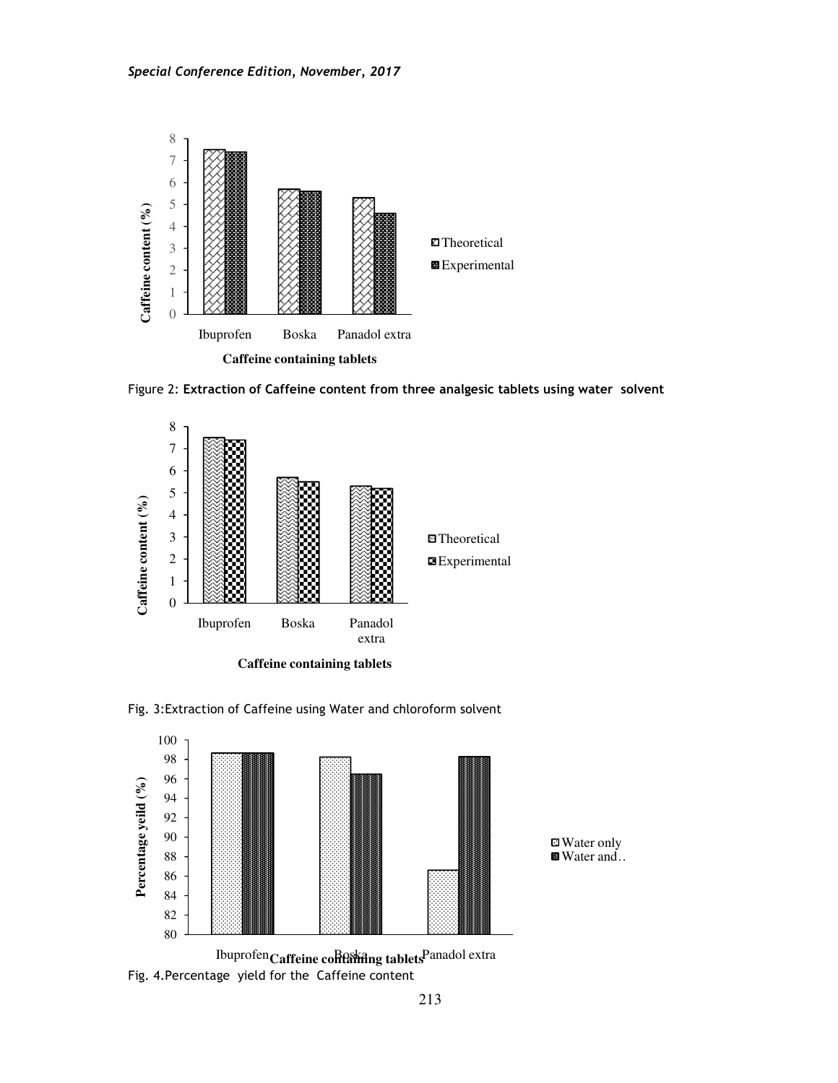

Figure 2: **Extraction of Caffeine content from three analgesic tablets using water solvent**



**Caffeine containing tablets**